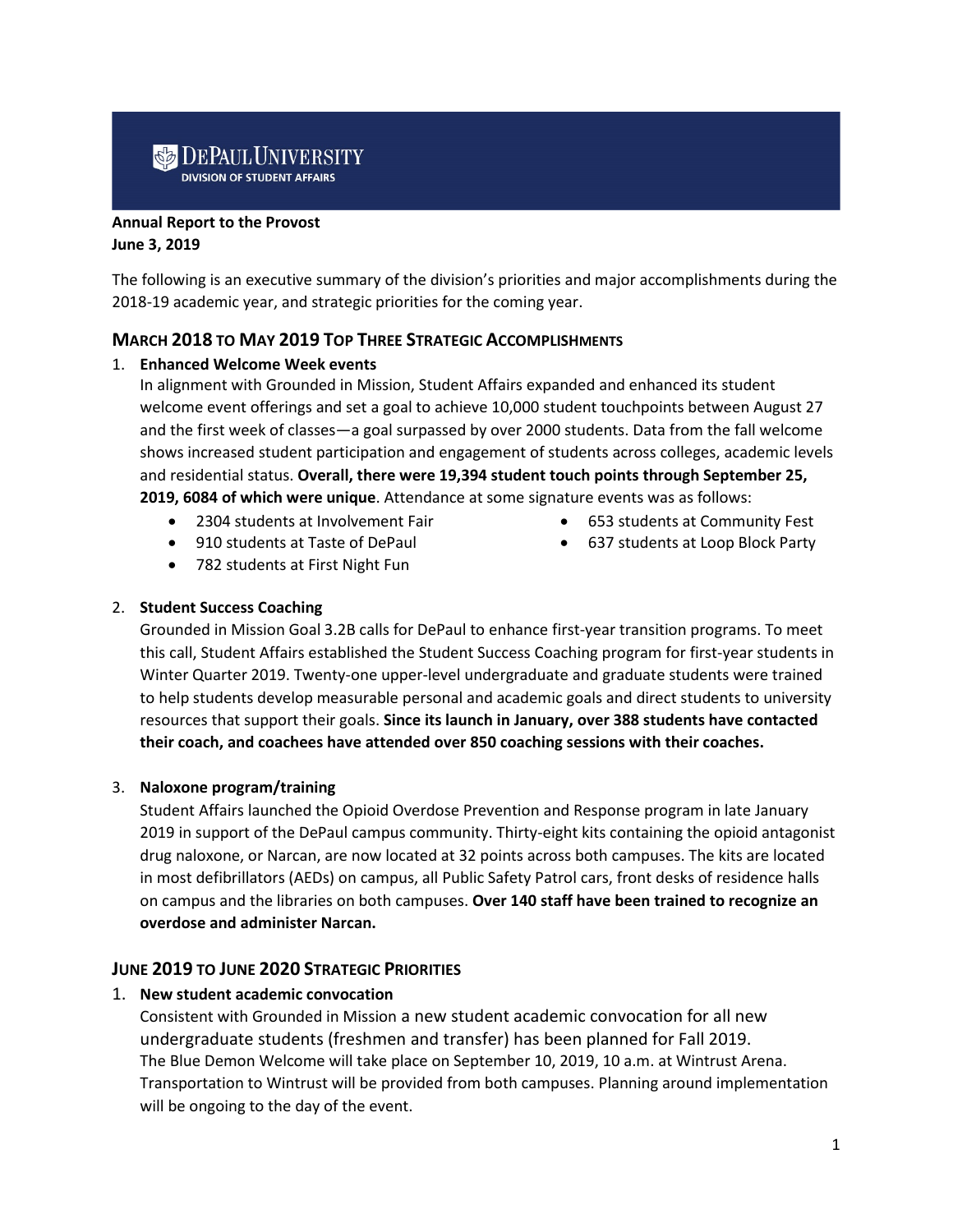# **DEPAUL UNIVERSITY**

#### **Annual Report to the Provost**

#### **June 3, 2019**

The following is an executive summary of the division's priorities and major accomplishments during the 2018-19 academic year, and strategic priorities for the coming year.

#### **MARCH 2018 TO MAY 2019 TOP THREE STRATEGIC ACCOMPLISHMENTS**

#### 1. **Enhanced Welcome Week events**

In alignment with Grounded in Mission, Student Affairs expanded and enhanced its student welcome event offerings and set a goal to achieve 10,000 student touchpoints between August 27 and the first week of classes—a goal surpassed by over 2000 students. Data from the fall welcome shows increased student participation and engagement of students across colleges, academic levels and residential status. **Overall, there were 19,394 student touch points through September 25, 2019, 6084 of which were unique**. Attendance at some signature events was as follows:

- 2304 students at Involvement Fair
- 910 students at Taste of DePaul
- 782 students at First Night Fun

• 653 students at Community Fest • 637 students at Loop Block Party

#### 2. **Student Success Coaching**

Grounded in Mission Goal 3.2B calls for DePaul to enhance first-year transition programs. To meet this call, Student Affairs established the Student Success Coaching program for first-year students in Winter Quarter 2019. Twenty-one upper-level undergraduate and graduate students were trained to help students develop measurable personal and academic goals and direct students to university resources that support their goals. **Since its launch in January, over 388 students have contacted their coach, and coachees have attended over 850 coaching sessions with their coaches.**

## 3. **Naloxone program/training**

Student Affairs launched the Opioid Overdose Prevention and Response program in late January 2019 in support of the DePaul campus community. Thirty-eight kits containing the opioid antagonist drug naloxone, or Narcan, are now located at 32 points across both campuses. The kits are located in most defibrillators (AEDs) on campus, all Public Safety Patrol cars, front desks of residence halls on campus and the libraries on both campuses. **Over 140 staff have been trained to recognize an overdose and administer Narcan.**

## **JUNE 2019 TO JUNE 2020 STRATEGIC PRIORITIES**

#### 1. **New student academic convocation**

Consistent with Grounded in Mission a new student academic convocation for all new undergraduate students (freshmen and transfer) has been planned for Fall 2019. The Blue Demon Welcome will take place on September 10, 2019, 10 a.m. at Wintrust Arena. Transportation to Wintrust will be provided from both campuses. Planning around implementation will be ongoing to the day of the event.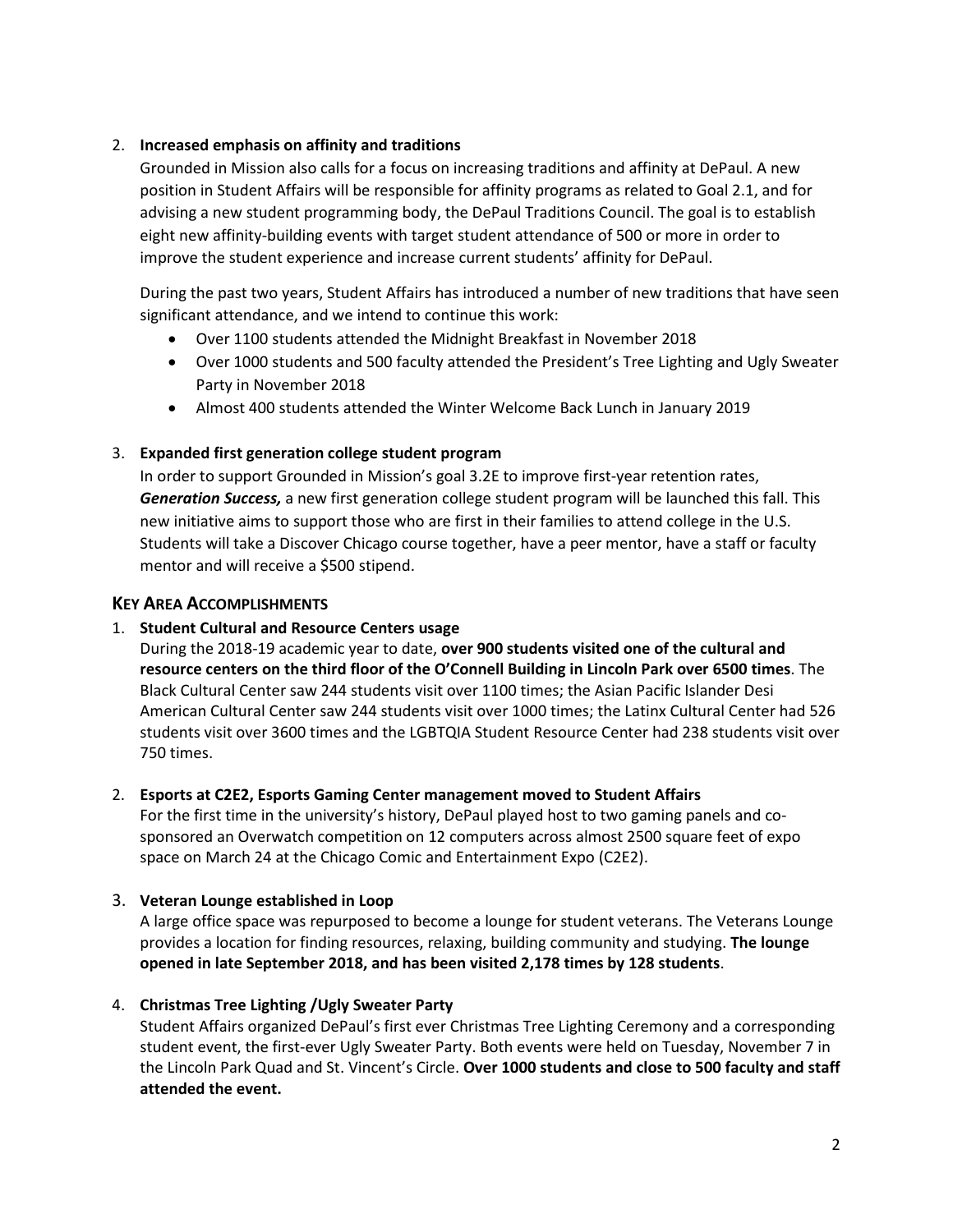#### 2. **Increased emphasis on affinity and traditions**

Grounded in Mission also calls for a focus on increasing traditions and affinity at DePaul. A new position in Student Affairs will be responsible for affinity programs as related to Goal 2.1, and for advising a new student programming body, the DePaul Traditions Council. The goal is to establish eight new affinity-building events with target student attendance of 500 or more in order to improve the student experience and increase current students' affinity for DePaul.

During the past two years, Student Affairs has introduced a number of new traditions that have seen significant attendance, and we intend to continue this work:

- Over 1100 students attended the Midnight Breakfast in November 2018
- Over 1000 students and 500 faculty attended the President's Tree Lighting and Ugly Sweater Party in November 2018
- Almost 400 students attended the Winter Welcome Back Lunch in January 2019

## 3. **Expanded first generation college student program**

In order to support Grounded in Mission's goal 3.2E to improve first-year retention rates, *Generation Success,* a new first generation college student program will be launched this fall. This new initiative aims to support those who are first in their families to attend college in the U.S. Students will take a Discover Chicago course together, have a peer mentor, have a staff or faculty mentor and will receive a \$500 stipend.

## **KEY AREA ACCOMPLISHMENTS**

## 1. **Student Cultural and Resource Centers usage**

During the 2018-19 academic year to date, **over 900 students visited one of the cultural and resource centers on the third floor of the O'Connell Building in Lincoln Park over 6500 times**. The Black Cultural Center saw 244 students visit over 1100 times; the Asian Pacific Islander Desi American Cultural Center saw 244 students visit over 1000 times; the Latinx Cultural Center had 526 students visit over 3600 times and the LGBTQIA Student Resource Center had 238 students visit over 750 times.

## 2. **Esports at C2E2, Esports Gaming Center management moved to Student Affairs**

For the first time in the university's history, DePaul played host to two gaming panels and cosponsored an Overwatch competition on 12 computers across almost 2500 square feet of expo space on March 24 at the Chicago Comic and Entertainment Expo (C2E2).

#### 3. **Veteran Lounge established in Loop**

A large office space was repurposed to become a lounge for student veterans. The Veterans Lounge provides a location for finding resources, relaxing, building community and studying. **The lounge opened in late September 2018, and has been visited 2,178 times by 128 students**.

## 4. **Christmas Tree Lighting /Ugly Sweater Party**

Student Affairs organized DePaul's first ever Christmas Tree Lighting Ceremony and a corresponding student event, the first-ever Ugly Sweater Party. Both events were held on Tuesday, November 7 in the Lincoln Park Quad and St. Vincent's Circle. **Over 1000 students and close to 500 faculty and staff attended the event.**